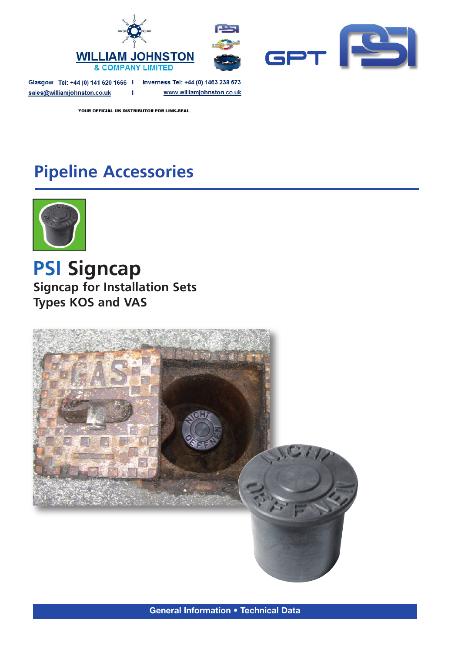

Glasgow Tel: +44 (0) 141 620 1666 | Inverness Tel: +44 (0) 1463 238 673 sales@williamjohnston.co.uk

www.williamjohnston.co.uk

YOUR OFFICIAL UK DISTRIBUTOR FOR LINK-SEAL

**I** 

## **Pipeline Accessories**



**PSI Signcap Signcap for Installation Sets Types KOS and VAS**



**General Information • Technical Data**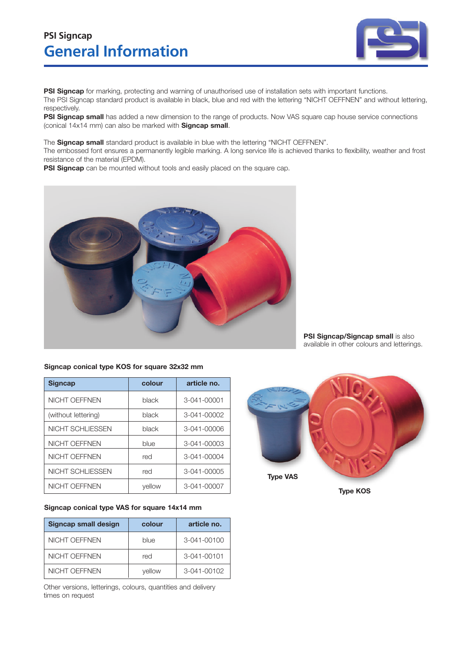## **General Information PSI Signcap**



**PSI Signcap** for marking, protecting and warning of unauthorised use of installation sets with important functions. The PSI Signcap standard product is available in black, blue and red with the lettering "NICHT OEFFNEN" and without lettering, respectively.

**PSI Signcap small** has added a new dimension to the range of products. Now VAS square cap house service connections (conical 14x14 mm) can also be marked with **Signcap small**.

The **Signcap small** standard product is available in blue with the lettering "NICHT OEFFNEN".

The embossed font ensures a permanently legible marking. A long service life is achieved thanks to flexibility, weather and frost resistance of the material (EPDM).

**PSI Signcap** can be mounted without tools and easily placed on the square cap.



## **Signcap conical type KOS for square 32x32 mm**

| <b>Signcap</b>       | colour | article no. |
|----------------------|--------|-------------|
| <b>NICHT OEFFNEN</b> | black  | 3-041-00001 |
| (without lettering)  | black  | 3-041-00002 |
| NICHT SCHLIESSEN     | black  | 3-041-00006 |
| <b>NICHT OEFFNEN</b> | blue   | 3-041-00003 |
| <b>NICHT OEFFNEN</b> | red    | 3-041-00004 |
| NICHT SCHLIESSEN     | red    | 3-041-00005 |
| NICHT OFFFNEN        | yellow | 3-041-00007 |

## **Signcap conical type VAS for square 14x14 mm**

| <b>Signcap small design</b> | colour | article no.       |
|-----------------------------|--------|-------------------|
| NICHT OEFFNEN               | blue   | 3-041-00100       |
| NICHT OFFFNEN               | red    | $3 - 041 - 00101$ |
| NICHT OEFFNEN               | vellow | 3-041-00102       |

Other versions, letterings, colours, quantities and delivery times on request



**Type KOS**

**PSI Signcap/Signcap small** is also available in other colours and letterings.